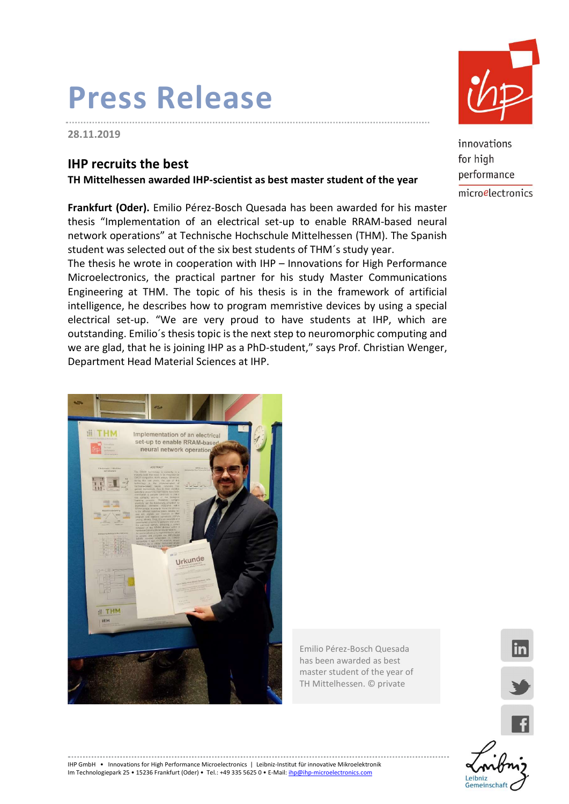## Press Release

28.11.2019

í.

### IHP recruits the best

TH Mittelhessen awarded IHP-scientist as best master student of the year

Frankfurt (Oder). Emilio Pérez-Bosch Quesada has been awarded for his master thesis "Implementation of an electrical set-up to enable RRAM-based neural network operations" at Technische Hochschule Mittelhessen (THM). The Spanish student was selected out of the six best students of THM´s study year.

The thesis he wrote in cooperation with IHP – Innovations for High Performance Microelectronics, the practical partner for his study Master Communications Engineering at THM. The topic of his thesis is in the framework of artificial intelligence, he describes how to program memristive devices by using a special electrical set-up. "We are very proud to have students at IHP, which are outstanding. Emilio´s thesis topic is the next step to neuromorphic computing and we are glad, that he is joining IHP as a PhD-student," says Prof. Christian Wenger, Department Head Material Sciences at IHP.



Emilio Pérez-Bosch Quesada has been awarded as best master student of the year of TH Mittelhessen. © private



innovations for high performance microelectronics



lin

IHP GmbH • Innovations for High Performance Microelectronics | Leibniz-Institut für innovative Mikroelektronik Im Technologiepark 25 • 15236 Frankfurt (Oder) • Tel.: +49 335 5625 0 • E-Mail: ihp@ihp-microelectronics.com